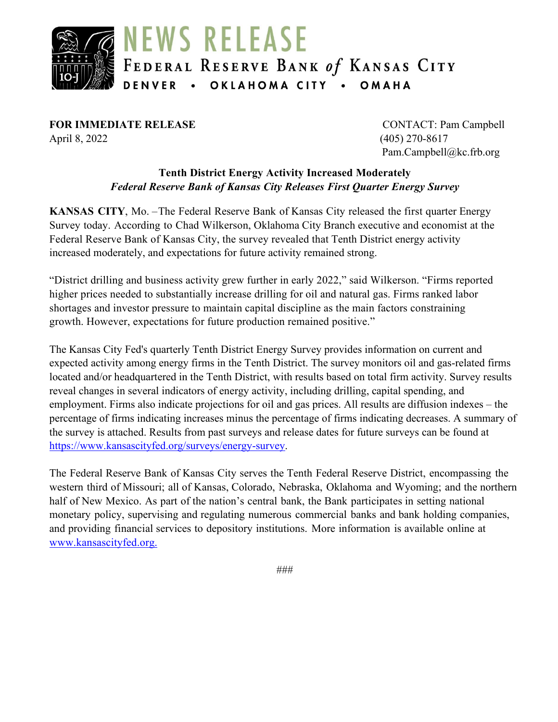

**FOR IMMEDIATE RELEASE** CONTACT: Pam Campbell April 8, 2022 (405) 270-8617

Pam.Campbell@kc.frb.org

### **Tenth District Energy Activity Increased Moderately** *Federal Reserve Bank of Kansas City Releases First Quarter Energy Survey*

**KANSAS CITY**, Mo. –The Federal Reserve Bank of Kansas City released the first quarter Energy Survey today. According to Chad Wilkerson, Oklahoma City Branch executive and economist at the Federal Reserve Bank of Kansas City, the survey revealed that Tenth District energy activity increased moderately, and expectations for future activity remained strong.

"District drilling and business activity grew further in early 2022," said Wilkerson. "Firms reported higher prices needed to substantially increase drilling for oil and natural gas. Firms ranked labor shortages and investor pressure to maintain capital discipline as the main factors constraining growth. However, expectations for future production remained positive."

The Kansas City Fed's quarterly Tenth District Energy Survey provides information on current and expected activity among energy firms in the Tenth District. The survey monitors oil and gas-related firms located and/or headquartered in the Tenth District, with results based on total firm activity. Survey results reveal changes in several indicators of energy activity, including drilling, capital spending, and employment. Firms also indicate projections for oil and gas prices. All results are diffusion indexes – the percentage of firms indicating increases minus the percentage of firms indicating decreases. A summary of the survey is attached. Results from past surveys and release dates for future surveys can be found at [https://www.kansascityfed.org/surveys/energy-survey.](https://www.kansascityfed.org/surveys/energy-survey)

The Federal Reserve Bank of Kansas City serves the Tenth Federal Reserve District, encompassing the western third of Missouri; all of Kansas, Colorado, Nebraska, Oklahoma and Wyoming; and the northern half of New Mexico. As part of the nation's central bank, the Bank participates in setting national monetary policy, supervising and regulating numerous commercial banks and bank holding companies, and providing financial services to depository institutions. More information is available online at [www.kansascityfed.org.](http://www.kansascityfed.org./)

###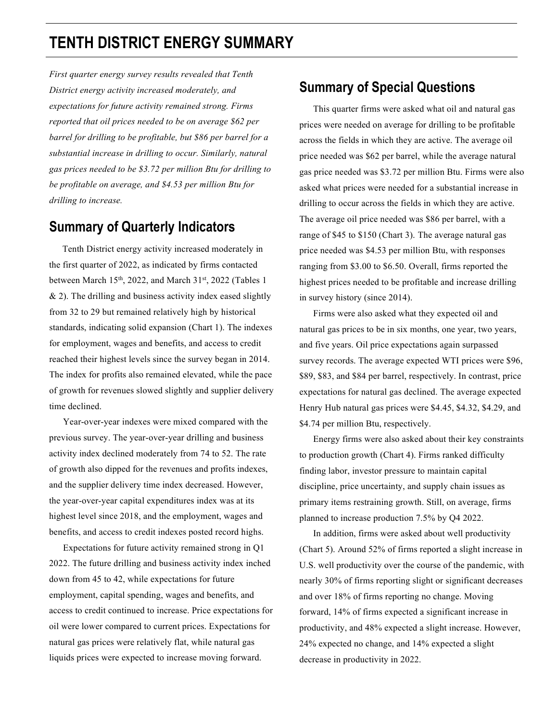# **TENTH DISTRICT ENERGY SUMMARY**

*First quarter energy survey results revealed that Tenth District energy activity increased moderately, and expectations for future activity remained strong. Firms reported that oil prices needed to be on average \$62 per barrel for drilling to be profitable, but \$86 per barrel for a substantial increase in drilling to occur. Similarly, natural gas prices needed to be \$3.72 per million Btu for drilling to be profitable on average, and \$4.53 per million Btu for drilling to increase.* 

## **Summary of Quarterly Indicators**

 Tenth District energy activity increased moderately in the first quarter of 2022, as indicated by firms contacted between March 15<sup>th</sup>, 2022, and March 31<sup>st</sup>, 2022 (Tables 1  $& 2$ ). The drilling and business activity index eased slightly from 32 to 29 but remained relatively high by historical standards, indicating solid expansion (Chart 1). The indexes for employment, wages and benefits, and access to credit reached their highest levels since the survey began in 2014. The index for profits also remained elevated, while the pace of growth for revenues slowed slightly and supplier delivery time declined.

 Year-over-year indexes were mixed compared with the previous survey. The year-over-year drilling and business activity index declined moderately from 74 to 52. The rate of growth also dipped for the revenues and profits indexes, and the supplier delivery time index decreased. However, the year-over-year capital expenditures index was at its highest level since 2018, and the employment, wages and benefits, and access to credit indexes posted record highs.

 Expectations for future activity remained strong in Q1 2022. The future drilling and business activity index inched down from 45 to 42, while expectations for future employment, capital spending, wages and benefits, and access to credit continued to increase. Price expectations for oil were lower compared to current prices. Expectations for natural gas prices were relatively flat, while natural gas liquids prices were expected to increase moving forward.

## **Summary of Special Questions**

 This quarter firms were asked what oil and natural gas prices were needed on average for drilling to be profitable across the fields in which they are active. The average oil price needed was \$62 per barrel, while the average natural gas price needed was \$3.72 per million Btu. Firms were also asked what prices were needed for a substantial increase in drilling to occur across the fields in which they are active. The average oil price needed was \$86 per barrel, with a range of \$45 to \$150 (Chart 3). The average natural gas price needed was \$4.53 per million Btu, with responses ranging from \$3.00 to \$6.50. Overall, firms reported the highest prices needed to be profitable and increase drilling in survey history (since 2014).

 Firms were also asked what they expected oil and natural gas prices to be in six months, one year, two years, and five years. Oil price expectations again surpassed survey records. The average expected WTI prices were \$96, \$89, \$83, and \$84 per barrel, respectively. In contrast, price expectations for natural gas declined. The average expected Henry Hub natural gas prices were \$4.45, \$4.32, \$4.29, and \$4.74 per million Btu, respectively.

 Energy firms were also asked about their key constraints to production growth (Chart 4). Firms ranked difficulty finding labor, investor pressure to maintain capital discipline, price uncertainty, and supply chain issues as primary items restraining growth. Still, on average, firms planned to increase production 7.5% by Q4 2022.

 In addition, firms were asked about well productivity (Chart 5). Around 52% of firms reported a slight increase in U.S. well productivity over the course of the pandemic, with nearly 30% of firms reporting slight or significant decreases and over 18% of firms reporting no change. Moving forward, 14% of firms expected a significant increase in productivity, and 48% expected a slight increase. However, 24% expected no change, and 14% expected a slight decrease in productivity in 2022.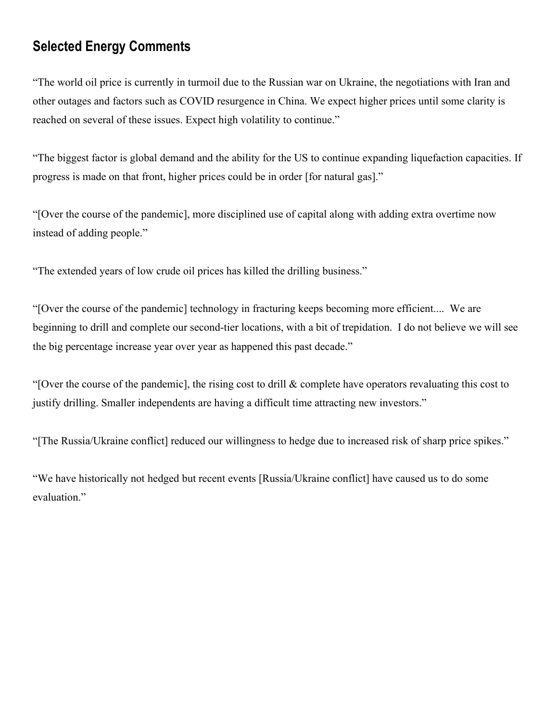# **Selected Energy Comments**

"The world oil price is currently in turmoil due to the Russian war on Ukraine, the negotiations with Iran and other outages and factors such as COVID resurgence in China. We expect higher prices until some clarity is reached on several of these issues. Expect high volatility to continue."

"The biggest factor is global demand and the ability for the US to continue expanding liquefaction capacities. If progress is made on that front, higher prices could be in order [for natural gas]."

"[Over the course of the pandemic], more disciplined use of capital along with adding extra overtime now instead of adding people."

"The extended years of low crude oil prices has killed the drilling business."

"[Over the course of the pandemic] technology in fracturing keeps becoming more efficient.... We are beginning to drill and complete our second-tier locations, with a bit of trepidation. I do not believe we will see the big percentage increase year over year as happened this past decade."

"[Over the course of the pandemic], the rising cost to drill & complete have operators revaluating this cost to justify drilling. Smaller independents are having a difficult time attracting new investors."

"[The Russia/Ukraine conflict] reduced our willingness to hedge due to increased risk of sharp price spikes."

"We have historically not hedged but recent events [Russia/Ukraine conflict] have caused us to do some evaluation."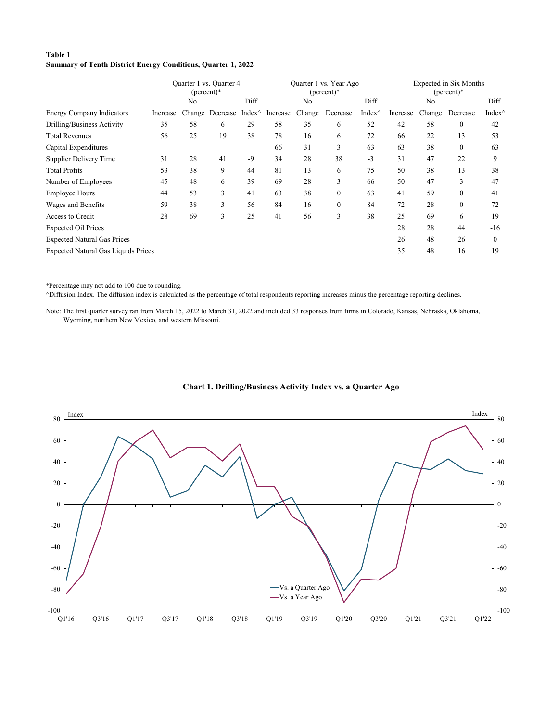### **Table 1 Summary of Tenth District Energy Conditions, Quarter 1, 2022**

|                                            | Quarter 1 vs. Quarter 4<br>$(\text{percent})^*$ |                |                         |      |          |                | Quarter 1 vs. Year Ago<br>$(\text{percent})^*$ |                | Expected in Six Months<br>$(\text{percent})^*$ |                |                |          |  |
|--------------------------------------------|-------------------------------------------------|----------------|-------------------------|------|----------|----------------|------------------------------------------------|----------------|------------------------------------------------|----------------|----------------|----------|--|
|                                            |                                                 | N <sub>o</sub> |                         | Diff |          | N <sub>o</sub> |                                                | Diff           |                                                | N <sub>o</sub> |                | Diff     |  |
| <b>Energy Company Indicators</b>           | Increase                                        | Change         | Decrease Index $\wedge$ |      | Increase | Change         | Decrease                                       | Index $\wedge$ | Increase                                       | Change         | Decrease       | Index'   |  |
| Drilling/Business Activity                 | 35                                              | 58             | 6                       | 29   | 58       | 35             | 6                                              | 52             | 42                                             | 58             | $\overline{0}$ | 42       |  |
| <b>Total Revenues</b>                      | 56                                              | 25             | 19                      | 38   | 78       | 16             | 6                                              | 72             | 66                                             | 22             | 13             | 53       |  |
| Capital Expenditures                       |                                                 |                |                         |      | 66       | 31             | 3                                              | 63             | 63                                             | 38             | $\theta$       | 63       |  |
| Supplier Delivery Time                     | 31                                              | 28             | 41                      | $-9$ | 34       | 28             | 38                                             | $-3$           | 31                                             | 47             | 22             | 9        |  |
| <b>Total Profits</b>                       | 53                                              | 38             | 9                       | 44   | 81       | 13             | 6                                              | 75             | 50                                             | 38             | 13             | 38       |  |
| Number of Employees                        | 45                                              | 48             | 6                       | 39   | 69       | 28             | 3                                              | 66             | 50                                             | 47             | 3              | 47       |  |
| <b>Employee Hours</b>                      | 44                                              | 53             | 3                       | 41   | 63       | 38             | $\mathbf{0}$                                   | 63             | 41                                             | 59             | $\mathbf{0}$   | 41       |  |
| Wages and Benefits                         | 59                                              | 38             | 3                       | 56   | 84       | 16             | $\mathbf{0}$                                   | 84             | 72                                             | 28             | $\mathbf{0}$   | 72       |  |
| Access to Credit                           | 28                                              | 69             | 3                       | 25   | 41       | 56             | 3                                              | 38             | 25                                             | 69             | 6              | 19       |  |
| <b>Expected Oil Prices</b>                 |                                                 |                |                         |      |          |                |                                                |                | 28                                             | 28             | 44             | $-16$    |  |
| <b>Expected Natural Gas Prices</b>         |                                                 |                |                         |      |          |                |                                                |                | 26                                             | 48             | 26             | $\theta$ |  |
| <b>Expected Natural Gas Liquids Prices</b> |                                                 |                |                         |      |          |                |                                                |                | 35                                             | 48             | 16             | 19       |  |

\*Percentage may not add to 100 due to rounding.

^Diffusion Index. The diffusion index is calculated as the percentage of total respondents reporting increases minus the percentage reporting declines.

Note: The first quarter survey ran from March 15, 2022 to March 31, 2022 and included 33 responses from firms in Colorado, Kansas, Nebraska, Oklahoma, Wyoming, northern New Mexico, and western Missouri.



#### **Chart 1. Drilling/Business Activity Index vs. a Quarter Ago**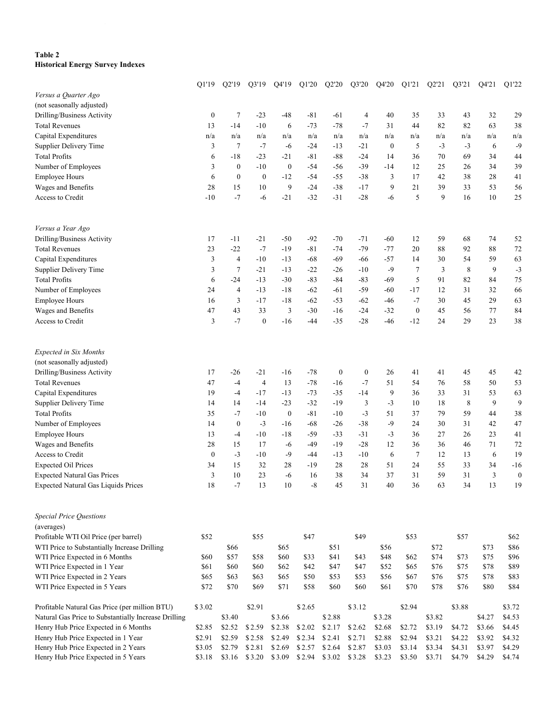### **Table 2 Historical Energy Survey Indexes**

|                                                                | Q1'19            | Q2'19            | Q3'19            | Q4'19            | Q1'20        | Q2'20            | Q3'20            | Q4'20            | Q1'21            | Q2'21        | Q3'21        | Q4'21        | Q1'22            |
|----------------------------------------------------------------|------------------|------------------|------------------|------------------|--------------|------------------|------------------|------------------|------------------|--------------|--------------|--------------|------------------|
| Versus a Quarter Ago                                           |                  |                  |                  |                  |              |                  |                  |                  |                  |              |              |              |                  |
| (not seasonally adjusted)                                      |                  |                  |                  |                  |              |                  |                  |                  |                  |              |              |              |                  |
| Drilling/Business Activity                                     | $\boldsymbol{0}$ | $\tau$           | $-23$            | $-48$            | $-81$        | -61              | 4                | 40               | 35               | 33           | 43           | 32           | 29               |
| <b>Total Revenues</b>                                          | 13               | $-14$            | $-10$            | 6                | $-73$        | $-78$            | $-7$             | 31               | 44               | 82           | 82           | 63           | 38               |
| Capital Expenditures                                           | n/a              | n/a              | n/a              | n/a              | n/a          | n/a              | n/a              | n/a              | n/a              | n/a          | n/a          | n/a          | n/a              |
| Supplier Delivery Time                                         | 3                | $\tau$           | $-7$             | -6               | $-24$        | $-13$            | $-21$            | $\boldsymbol{0}$ | 5                | $-3$         | $-3$         | 6            | $-9$             |
| <b>Total Profits</b>                                           | 6                | $-18$            | $-23$            | $-21$            | $-81$        | $-88$            | $-24$            | 14               | 36               | 70           | 69           | 34           | 44               |
| Number of Employees                                            | 3                | $\mathbf{0}$     | $-10$            | $\boldsymbol{0}$ | $-54$        | $-56$            | $-39$            | -14              | 12               | 25           | 26           | 34           | 39               |
| <b>Employee Hours</b>                                          | 6                | $\boldsymbol{0}$ | $\boldsymbol{0}$ | $-12$            | $-54$        | $-55$            | $-38$            | 3                | 17               | 42           | 38           | 28           | 41               |
| Wages and Benefits                                             | 28               | 15               | 10               | 9                | $-24$        | $-38$            | $-17$            | 9                | 21               | 39           | 33           | 53           | 56               |
| Access to Credit                                               | $-10$            | $-7$             | -6               | $-21$            | $-32$        | $-31$            | $-28$            | $-6$             | 5                | 9            | 16           | $10\,$       | 25               |
| Versus a Year Ago                                              |                  |                  |                  |                  |              |                  |                  |                  |                  |              |              |              |                  |
| Drilling/Business Activity                                     | 17               | $-11$            | $-21$            | $-50$            | $-92$        | $-70$            | -71              | -60              | 12               | 59           | 68           | 74           | 52               |
| <b>Total Revenues</b>                                          | 23               | $-22$            | $-7$             | $-19$            | $-81$        | $-74$            | $-79$            | $-77$            | 20               | 88           | 92           | 88           | 72               |
| Capital Expenditures                                           | 3                | $\overline{4}$   | $-10$            | $-13$            | $-68$        | $-69$            | $-66$            | $-57$            | 14               | 30           | 54           | 59           | 63               |
| Supplier Delivery Time                                         | 3                | $\tau$           | $-21$            | $-13$            | $-22$        | $-26$            | $-10$            | $-9$             | 7                | 3            | 8            | 9            | $-3$             |
| <b>Total Profits</b>                                           | 6                | $-24$            | $-13$            | $-30$            | $-83$        | $-84$            | $-83$            | $-69$            | 5                | 91           | 82           | 84           | 75               |
| Number of Employees                                            | 24               | $\overline{4}$   | $-13$            | $-18$            | $-62$        | -61              | $-59$            | -60              | $-17$            | 12           | 31           | 32           | 66               |
| <b>Employee Hours</b>                                          | 16               | 3                | $-17$            | $-18$            | $-62$        | $-53$            | $-62$            | $-46$            | $-7$             | 30           | 45           | 29           | 63               |
| Wages and Benefits                                             | 47               | 43               | 33               | 3                | $-30$        | $-16$            | $-24$            | $-32$            | $\boldsymbol{0}$ | 45           | 56           | $77 \,$      | 84               |
| Access to Credit                                               | 3                | $-7$             | $\boldsymbol{0}$ | $-16$            | $-44$        | $-35$            | $-28$            | $-46$            | $-12$            | 24           | 29           | 23           | 38               |
| <b>Expected in Six Months</b>                                  |                  |                  |                  |                  |              |                  |                  |                  |                  |              |              |              |                  |
| (not seasonally adjusted)                                      |                  |                  |                  |                  |              |                  |                  |                  |                  |              |              |              |                  |
| Drilling/Business Activity                                     | 17               | $-26$            | $-21$            | -16              | $-78$        | $\boldsymbol{0}$ | $\boldsymbol{0}$ | 26               | 41               | 41           | 45           | 45           | 42               |
| <b>Total Revenues</b>                                          | 47               | $-4$             | $\overline{4}$   | 13               | $-78$        | $-16$            | $-7$             | 51               | 54               | 76           | 58           | 50           | 53               |
| Capital Expenditures                                           | 19               | $-4$             | $-17$            | $-13$            | $-73$        | $-35$            | $-14$            | 9                | 36               | 33           | 31           | 53           | 63               |
| Supplier Delivery Time                                         | 14               | 14               | $-14$            | $-23$            | $-32$        | $-19$            | 3                | $-3$             | 10               | 18           | 8            | 9            | 9                |
| <b>Total Profits</b>                                           | 35               | $-7$             | $-10$            | $\boldsymbol{0}$ | $-81$        | $-10$            | $-3$             | 51               | 37               | 79           | 59           | 44           | 38               |
| Number of Employees                                            | 14               | $\boldsymbol{0}$ | $-3$             | $-16$            | $-68$        | $-26$            | $-38$            | $-9$             | 24               | 30           | 31           | 42           | 47               |
| <b>Employee Hours</b>                                          | 13               | $-4$             | $-10$            | $-18$            | $-59$        | $-33$            | $-31$            | $-3$             | 36               | 27           | 26           | 23           | 41               |
| Wages and Benefits                                             | 28               | 15               | 17               | -6               | -49          | $-19$            | $-28$            | 12               | 36               | 36           | 46           | 71           | 72               |
| Access to Credit                                               | $\boldsymbol{0}$ | $-3$             | $-10$            | $-9$             | -44          | $-13$            | $-10$            | 6                | 7                | 12           | 13           | 6            | 19               |
| <b>Expected Oil Prices</b>                                     | 34               | 15               | 32               | 28               | $-19$        | $28\,$           | 28               | 51               | 24               | 55           | 33           | 34           | $-16$            |
| <b>Expected Natural Gas Prices</b>                             | 3                | 10               | 23               | $-6$             | 16           | 38               | 34               | 37               | 31               | 59           | 31           | 3            | $\boldsymbol{0}$ |
| <b>Expected Natural Gas Liquids Prices</b>                     | 18               | $-7$             | 13               | $10\,$           | $\mbox{-}8$  | 45               | 31               | $40\,$           | 36               | 63           | 34           | 13           | 19               |
| <b>Special Price Questions</b>                                 |                  |                  |                  |                  |              |                  |                  |                  |                  |              |              |              |                  |
| (averages)                                                     |                  |                  |                  |                  |              |                  |                  |                  |                  |              |              |              |                  |
| Profitable WTI Oil Price (per barrel)                          | \$52             |                  | \$55             |                  | \$47         |                  | \$49             |                  | \$53             |              | \$57         |              | \$62             |
| WTI Price to Substantially Increase Drilling                   |                  | \$66             |                  | \$65             |              | \$51             |                  | \$56             |                  | \$72         |              | \$73         | \$86             |
| WTI Price Expected in 6 Months                                 | \$60             | \$57             | \$58             | \$60             | \$33         | \$41             | \$43             | \$48             | \$62             | \$74         | \$73         | \$75         | \$96             |
| WTI Price Expected in 1 Year                                   | \$61             | \$60             | \$60             | \$62             | \$42         | \$47             | \$47             | \$52             | \$65             | \$76         | \$75         | \$78         | \$89             |
| WTI Price Expected in 2 Years<br>WTI Price Expected in 5 Years | \$65<br>\$72     | \$63<br>\$70     | \$63<br>\$69     | \$65<br>\$71     | \$50<br>\$58 | \$53<br>\$60     | \$53<br>\$60     | \$56<br>\$61     | \$67<br>\$70     | \$76<br>\$78 | \$75<br>\$76 | \$78<br>\$80 | \$83<br>\$84     |
| Profitable Natural Gas Price (per million BTU)                 | \$3.02           |                  | \$2.91           |                  | \$2.65       |                  | \$3.12           |                  | \$2.94           |              | \$3.88       |              | \$3.72           |
| Natural Gas Price to Substantially Increase Drilling           |                  | \$3.40           |                  | \$3.66           |              | \$2.88           |                  | \$3.28           |                  | \$3.82       |              | \$4.27       | \$4.53           |
| Henry Hub Price Expected in 6 Months                           | \$2.85           | \$2.52           | \$2.59           | \$2.38           | \$2.02       | \$2.17           | \$2.62           | \$2.68           | \$2.72           | \$3.19       | \$4.72       | \$3.66       | \$4.45           |
| Henry Hub Price Expected in 1 Year                             | \$2.91           | \$2.59           | \$2.58           | \$2.49           | \$2.34       | \$2.41           | \$2.71           | \$2.88           | \$2.94           | \$3.21       | \$4.22       | \$3.92       | \$4.32           |
| Henry Hub Price Expected in 2 Years                            | \$3.05           | \$2.79           | \$2.81           | \$2.69           | \$2.57       | \$2.64           | \$2.87           | \$3.03           | \$3.14           | \$3.34       | \$4.31       | \$3.97       | \$4.29           |
| Henry Hub Price Expected in 5 Years                            | \$3.18           | \$3.16           | \$3.20           | \$3.09           | \$2.94       | \$3.02           | \$3.28           | \$3.23           | \$3.50           | \$3.71       | \$4.79       | \$4.29       | \$4.74           |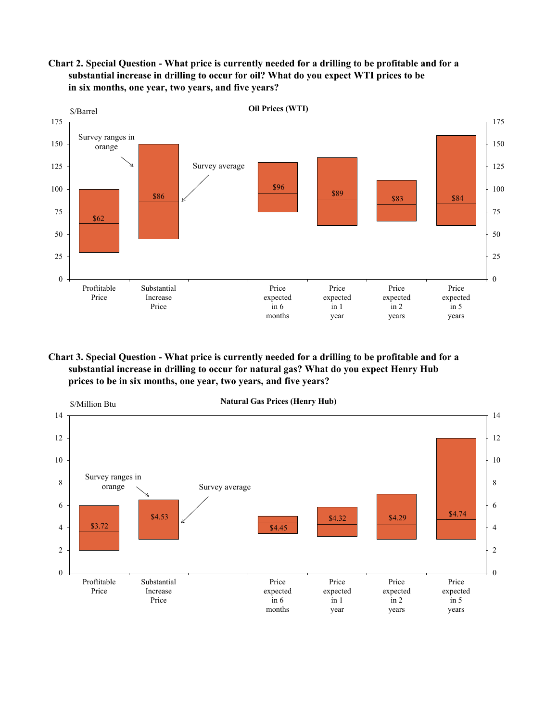**Chart 2. Special Question - What price is currently needed for a drilling to be profitable and for a substantial increase in drilling to occur for oil? What do you expect WTI prices to be in six months, one year, two years, and five years?**



**Chart 3. Special Question - What price is currently needed for a drilling to be profitable and for a substantial increase in drilling to occur for natural gas? What do you expect Henry Hub prices to be in six months, one year, two years, and five years?**